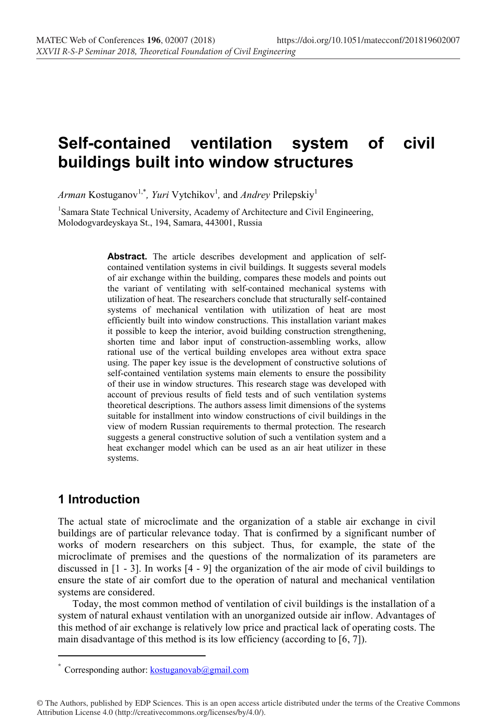# **Self-contained ventilation system of civil buildings built into window structures**

*Arman* Kostuganov<sup>1,\*</sup>, *Yuri* Vytchikov<sup>1</sup>, and *Andrey* Prilepskiy<sup>1</sup>

<sup>1</sup>Samara State Technical University, Academy of Architecture and Civil Engineering, Molodogvardeyskaya St., 194, Samara, 443001, Russia

> **Abstract.** The article describes development and application of selfcontained ventilation systems in civil buildings. It suggests several models of air exchange within the building, compares these models and points out the variant of ventilating with self-contained mechanical systems with utilization of heat. The researchers conclude that structurally self-contained systems of mechanical ventilation with utilization of heat are most efficiently built into window constructions. This installation variant makes it possible to keep the interior, avoid building construction strengthening, shorten time and labor input of construction-assembling works, allow rational use of the vertical building envelopes area without extra space using. The paper key issue is the development of constructive solutions of self-contained ventilation systems main elements to ensure the possibility of their use in window structures. This research stage was developed with account of previous results of field tests and of such ventilation systems theoretical descriptions. The authors assess limit dimensions of the systems suitable for installment into window constructions of civil buildings in the view of modern Russian requirements to thermal protection. The research suggests a general constructive solution of such a ventilation system and a heat exchanger model which can be used as an air heat utilizer in these systems.

### **1 Introduction**

 $\overline{a}$ 

The actual state of microclimate and the organization of a stable air exchange in civil buildings are of particular relevance today. That is confirmed by a significant number of works of modern researchers on this subject. Thus, for example, the state of the microclimate of premises and the questions of the normalization of its parameters are discussed in  $[1 - 3]$ . In works  $[4 - 9]$  the organization of the air mode of civil buildings to ensure the state of air comfort due to the operation of natural and mechanical ventilation systems are considered.

Today, the most common method of ventilation of civil buildings is the installation of a system of natural exhaust ventilation with an unorganized outside air inflow. Advantages of this method of air exchange is relatively low price and practical lack of operating costs. The main disadvantage of this method is its low efficiency (according to [6, 7]).

© The Authors, published by EDP Sciences. This is an open access article distributed under the terms of the Creative Commons Attribution License 4.0 (http://creativecommons.org/licenses/by/4.0/).

<sup>\*</sup> Corresponding author:  $kostuganovab(\mathcal{Q})$ gmail.com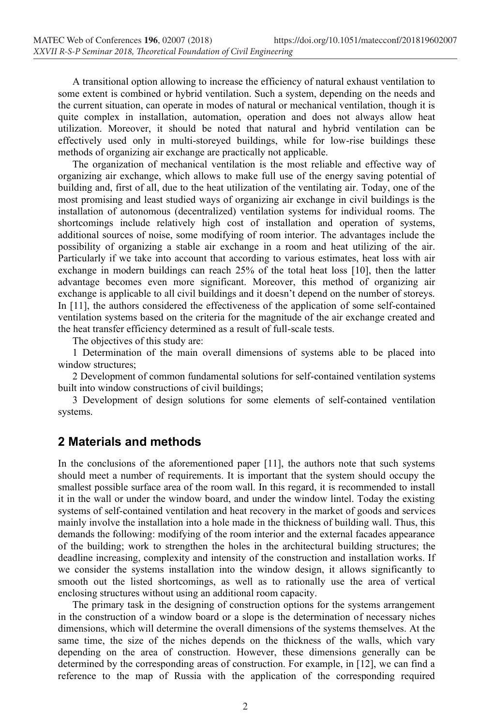A transitional option allowing to increase the efficiency of natural exhaust ventilation to some extent is combined or hybrid ventilation. Such a system, depending on the needs and the current situation, can operate in modes of natural or mechanical ventilation, though it is quite complex in installation, automation, operation and does not always allow heat utilization. Moreover, it should be noted that natural and hybrid ventilation can be effectively used only in multi-storeyed buildings, while for low-rise buildings these methods of organizing air exchange are practically not applicable.

The organization of mechanical ventilation is the most reliable and effective way of organizing air exchange, which allows to make full use of the energy saving potential of building and, first of all, due to the heat utilization of the ventilating air. Today, one of the most promising and least studied ways of organizing air exchange in civil buildings is the installation of autonomous (decentralized) ventilation systems for individual rooms. The shortcomings include relatively high cost of installation and operation of systems, additional sources of noise, some modifying of room interior. The advantages include the possibility of organizing a stable air exchange in a room and heat utilizing of the air. Particularly if we take into account that according to various estimates, heat loss with air exchange in modern buildings can reach 25% of the total heat loss [10], then the latter advantage becomes even more significant. Moreover, this method of organizing air exchange is applicable to all civil buildings and it doesn't depend on the number of storeys. In [11], the authors considered the effectiveness of the application of some self-contained ventilation systems based on the criteria for the magnitude of the air exchange created and the heat transfer efficiency determined as a result of full-scale tests.

The objectives of this study are:

1 Determination of the main overall dimensions of systems able to be placed into window structures;

2 Development of common fundamental solutions for self-contained ventilation systems built into window constructions of civil buildings;

3 Development of design solutions for some elements of self-contained ventilation systems.

#### **2 Materials and methods**

In the conclusions of the aforementioned paper [11], the authors note that such systems should meet a number of requirements. It is important that the system should occupy the smallest possible surface area of the room wall. In this regard, it is recommended to install it in the wall or under the window board, and under the window lintel. Today the existing systems of self-contained ventilation and heat recovery in the market of goods and services mainly involve the installation into a hole made in the thickness of building wall. Thus, this demands the following: modifying of the room interior and the external facades appearance of the building; work to strengthen the holes in the architectural building structures; the deadline increasing, complexity and intensity of the construction and installation works. If we consider the systems installation into the window design, it allows significantly to smooth out the listed shortcomings, as well as to rationally use the area of vertical enclosing structures without using an additional room capacity.

The primary task in the designing of construction options for the systems arrangement in the construction of a window board or a slope is the determination of necessary niches dimensions, which will determine the overall dimensions of the systems themselves. At the same time, the size of the niches depends on the thickness of the walls, which vary depending on the area of construction. However, these dimensions generally can be determined by the corresponding areas of construction. For example, in [12], we can find a reference to the map of Russia with the application of the corresponding required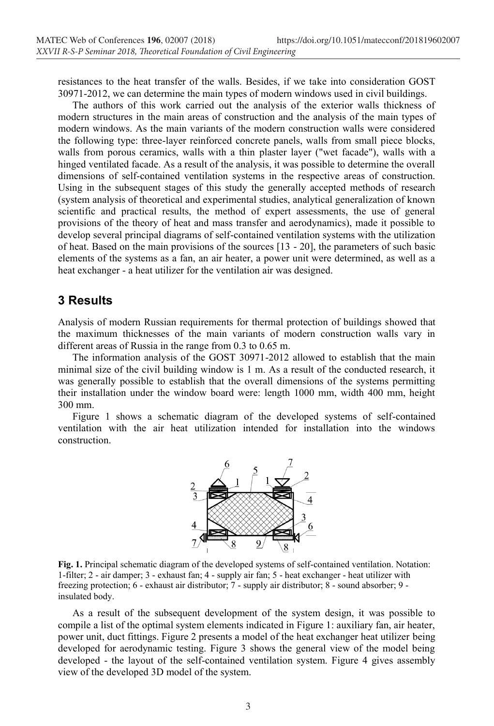resistances to the heat transfer of the walls. Besides, if we take into consideration GOST 30971-2012, we can determine the main types of modern windows used in civil buildings.

The authors of this work carried out the analysis of the exterior walls thickness of modern structures in the main areas of construction and the analysis of the main types of modern windows. As the main variants of the modern construction walls were considered the following type: three-layer reinforced concrete panels, walls from small piece blocks, walls from porous ceramics, walls with a thin plaster layer ("wet facade"), walls with a hinged ventilated facade. As a result of the analysis, it was possible to determine the overall dimensions of self-contained ventilation systems in the respective areas of construction. Using in the subsequent stages of this study the generally accepted methods of research (system analysis of theoretical and experimental studies, analytical generalization of known scientific and practical results, the method of expert assessments, the use of general provisions of the theory of heat and mass transfer and aerodynamics), made it possible to develop several principal diagrams of self-contained ventilation systems with the utilization of heat. Based on the main provisions of the sources [13 - 20], the parameters of such basic elements of the systems as a fan, an air heater, a power unit were determined, as well as a heat exchanger - a heat utilizer for the ventilation air was designed.

### **3 Results**

Analysis of modern Russian requirements for thermal protection of buildings showed that the maximum thicknesses of the main variants of modern construction walls vary in different areas of Russia in the range from 0.3 to 0.65 m.

The information analysis of the GOST 30971-2012 allowed to establish that the main minimal size of the civil building window is 1 m. As a result of the conducted research, it was generally possible to establish that the overall dimensions of the systems permitting their installation under the window board were: length 1000 mm, width 400 mm, height 300 mm.

Figure 1 shows a schematic diagram of the developed systems of self-contained ventilation with the air heat utilization intended for installation into the windows construction.



**Fig. 1.** Principal schematic diagram of the developed systems of self-contained ventilation. Notation: 1-filter; 2 - air damper; 3 - exhaust fan; 4 - supply air fan; 5 - heat exchanger - heat utilizer with freezing protection; 6 - exhaust air distributor; 7 - supply air distributor; 8 - sound absorber; 9 insulated body.

As a result of the subsequent development of the system design, it was possible to compile a list of the optimal system elements indicated in Figure 1: auxiliary fan, air heater, power unit, duct fittings. Figure 2 presents a model of the heat exchanger heat utilizer being developed for aerodynamic testing. Figure 3 shows the general view of the model being developed - the layout of the self-contained ventilation system. Figure 4 gives assembly view of the developed 3D model of the system.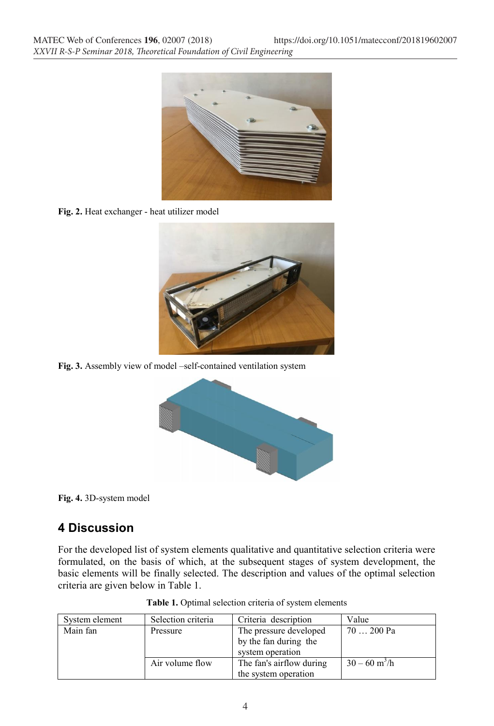

**Fig. 2.** Heat exchanger - heat utilizer model



**Fig. 3.** Assembly view of model –self-contained ventilation system



**Fig. 4.** 3D-system model

# **4 Discussion**

For the developed list of system elements qualitative and quantitative selection criteria were formulated, on the basis of which, at the subsequent stages of system development, the basic elements will be finally selected. The description and values of the optimal selection criteria are given below in Table 1.

| System element | Selection criteria | Criteria description     | Value                       |
|----------------|--------------------|--------------------------|-----------------------------|
| Main fan       | Pressure           | The pressure developed   | $70200$ Pa                  |
|                |                    | by the fan during the    |                             |
|                |                    | system operation         |                             |
|                | Air volume flow    | The fan's airflow during | $30 - 60$ m <sup>3</sup> /h |
|                |                    | the system operation     |                             |

**Table 1.** Optimal selection criteria of system elements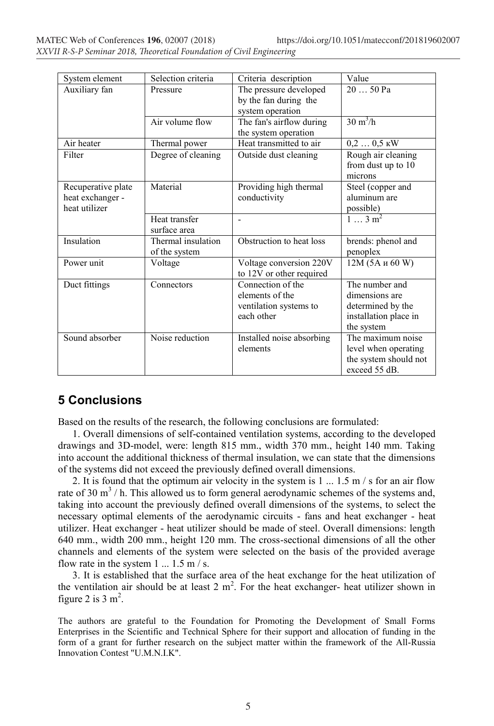*XXVII R-S-P Seminar 2018, Theoretical Foundation of Civil Engineering*

| System element                                          | Selection criteria                  | Criteria description                                                         | Value                                                                                        |
|---------------------------------------------------------|-------------------------------------|------------------------------------------------------------------------------|----------------------------------------------------------------------------------------------|
| Auxiliary fan                                           | Pressure                            | The pressure developed<br>by the fan during the<br>system operation          | 2050 Pa                                                                                      |
|                                                         | Air volume flow                     | The fan's airflow during<br>the system operation                             | $30 \text{ m}^3/\text{h}$                                                                    |
| Air heater                                              | Thermal power                       | Heat transmitted to air                                                      | $0,20,5$ KW                                                                                  |
| Filter                                                  | Degree of cleaning                  | Outside dust cleaning                                                        | Rough air cleaning<br>from dust up to 10<br>microns                                          |
| Recuperative plate<br>heat exchanger -<br>heat utilizer | Material                            | Providing high thermal<br>conductivity                                       | Steel (copper and<br>aluminum are<br>possible)                                               |
|                                                         | Heat transfer<br>surface area       |                                                                              | $13 \text{ m}^2$                                                                             |
| Insulation                                              | Thermal insulation<br>of the system | Obstruction to heat loss                                                     | brends: phenol and<br>penoplex                                                               |
| Power unit                                              | Voltage                             | Voltage conversion 220V<br>to 12V or other required                          | 12М (5А и 60 W)                                                                              |
| Duct fittings                                           | Connectors                          | Connection of the<br>elements of the<br>ventilation systems to<br>each other | The number and<br>dimensions are<br>determined by the<br>installation place in<br>the system |
| Sound absorber                                          | Noise reduction                     | Installed noise absorbing<br>elements                                        | The maximum noise<br>level when operating<br>the system should not<br>exceed 55 dB.          |

## **5 Conclusions**

Based on the results of the research, the following conclusions are formulated:

1. Overall dimensions of self-contained ventilation systems, according to the developed drawings and 3D-model, were: length 815 mm., width 370 mm., height 140 mm. Taking into account the additional thickness of thermal insulation, we can state that the dimensions of the systems did not exceed the previously defined overall dimensions.

2. It is found that the optimum air velocity in the system is  $1 \dots 1.5$  m  $\prime$  s for an air flow rate of 30  $\text{m}^3$  / h. This allowed us to form general aerodynamic schemes of the systems and, taking into account the previously defined overall dimensions of the systems, to select the necessary optimal elements of the aerodynamic circuits - fans and heat exchanger - heat utilizer. Heat exchanger - heat utilizer should be made of steel. Overall dimensions: length 640 mm., width 200 mm., height 120 mm. The cross-sectional dimensions of all the other channels and elements of the system were selected on the basis of the provided average flow rate in the system  $1 \dots 1.5$  m  $\frac{\text{m}}{\text{s}}$ .

3. It is established that the surface area of the heat exchange for the heat utilization of the ventilation air should be at least  $2 \text{ m}^2$ . For the heat exchanger- heat utilizer shown in figure 2 is 3  $m^2$ .

The authors are grateful to the Foundation for Promoting the Development of Small Forms Enterprises in the Scientific and Technical Sphere for their support and allocation of funding in the form of a grant for further research on the subject matter within the framework of the All-Russia Innovation Contest "U.M.N.I.K".